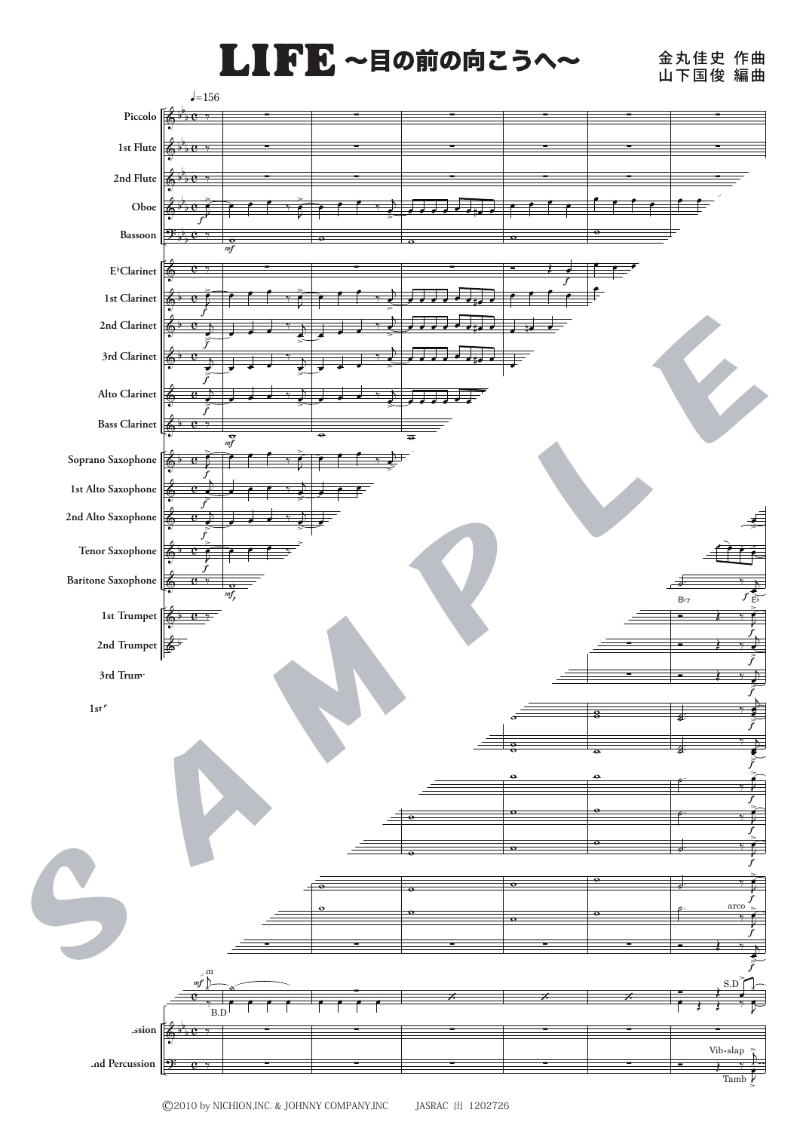## LIFE ~目の前の向こうへ~

金丸佳史 山下国俊 作曲 編曲